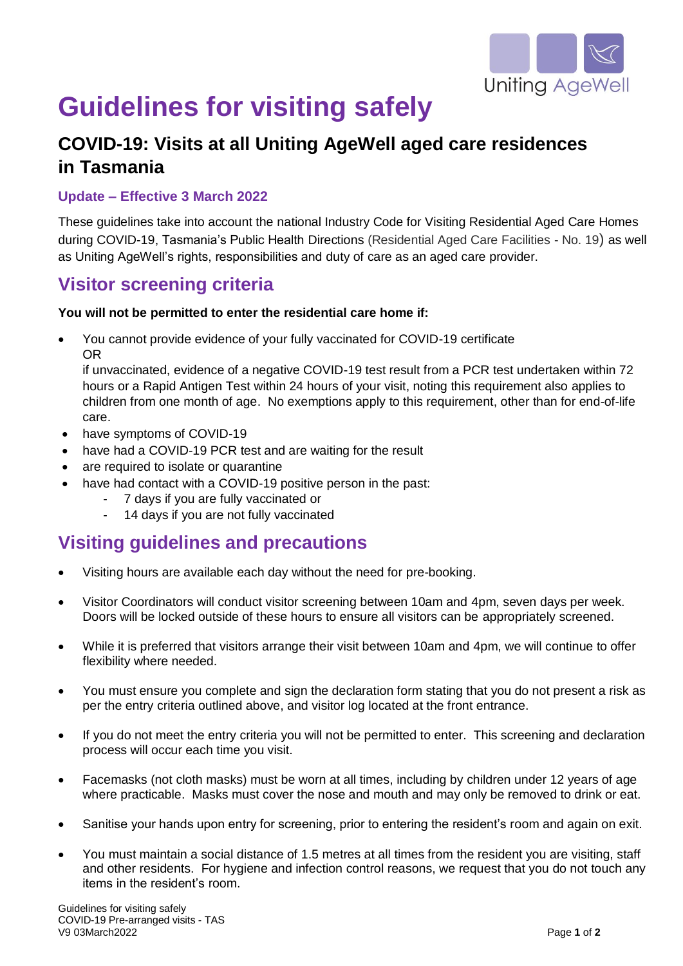

# **Guidelines for visiting safely**

## **COVID-19: Visits at all Uniting AgeWell aged care residences in Tasmania**

#### **Update – Effective 3 March 2022**

These guidelines take into account the national Industry Code for Visiting Residential Aged Care Homes during COVID-19, Tasmania's Public Health Directions (Residential Aged Care Facilities - No. 19) as well as Uniting AgeWell's rights, responsibilities and duty of care as an aged care provider.

### **Visitor screening criteria**

#### **You will not be permitted to enter the residential care home if:**

 You cannot provide evidence of your fully vaccinated for COVID-19 certificate OR

if unvaccinated, evidence of a negative COVID-19 test result from a PCR test undertaken within 72 hours or a Rapid Antigen Test within 24 hours of your visit, noting this requirement also applies to children from one month of age. No exemptions apply to this requirement, other than for end-of-life care.

- have symptoms of COVID-19
- have had a COVID-19 PCR test and are waiting for the result
- are required to isolate or quarantine
- have had contact with a COVID-19 positive person in the past:
	- 7 days if you are fully vaccinated or
	- 14 days if you are not fully vaccinated

## **Visiting guidelines and precautions**

- Visiting hours are available each day without the need for pre-booking.
- Visitor Coordinators will conduct visitor screening between 10am and 4pm, seven days per week. Doors will be locked outside of these hours to ensure all visitors can be appropriately screened.
- While it is preferred that visitors arrange their visit between 10am and 4pm, we will continue to offer flexibility where needed.
- You must ensure you complete and sign the declaration form stating that you do not present a risk as per the entry criteria outlined above, and visitor log located at the front entrance.
- If you do not meet the entry criteria you will not be permitted to enter. This screening and declaration process will occur each time you visit.
- Facemasks (not cloth masks) must be worn at all times, including by children under 12 years of age where practicable. Masks must cover the nose and mouth and may only be removed to drink or eat.
- Sanitise your hands upon entry for screening, prior to entering the resident's room and again on exit.
- You must maintain a social distance of 1.5 metres at all times from the resident you are visiting, staff and other residents. For hygiene and infection control reasons, we request that you do not touch any items in the resident's room.